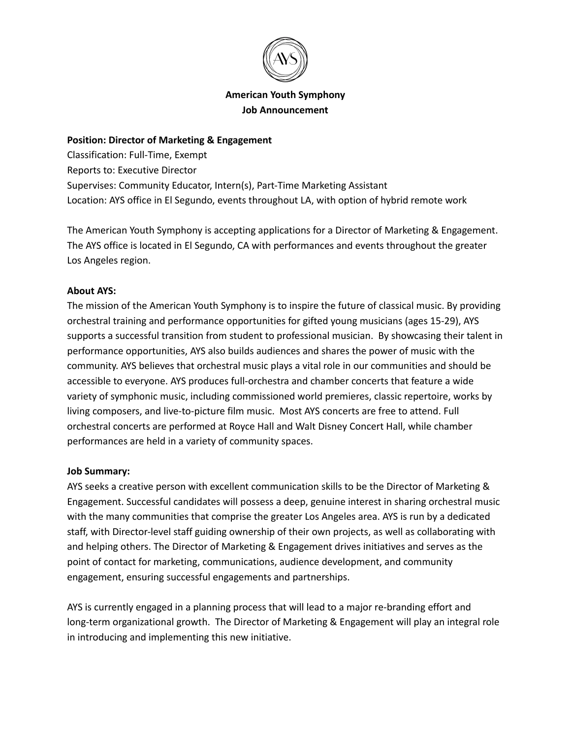

### **American Youth Symphony Job Announcement**

#### **Position: Director of Marketing & Engagement**

Classification: Full-Time, Exempt Reports to: Executive Director Supervises: Community Educator, Intern(s), Part-Time Marketing Assistant Location: AYS office in El Segundo, events throughout LA, with option of hybrid remote work

The American Youth Symphony is accepting applications for a Director of Marketing & Engagement. The AYS office is located in El Segundo, CA with performances and events throughout the greater Los Angeles region.

#### **About AYS:**

The mission of the American Youth Symphony is to inspire the future of classical music. By providing orchestral training and performance opportunities for gifted young musicians (ages 15-29), AYS supports a successful transition from student to professional musician. By showcasing their talent in performance opportunities, AYS also builds audiences and shares the power of music with the community. AYS believes that orchestral music plays a vital role in our communities and should be accessible to everyone. AYS produces full-orchestra and chamber concerts that feature a wide variety of symphonic music, including commissioned world premieres, classic repertoire, works by living composers, and live-to-picture film music. Most AYS concerts are free to attend. Full orchestral concerts are performed at Royce Hall and Walt Disney Concert Hall, while chamber performances are held in a variety of community spaces.

#### **Job Summary:**

AYS seeks a creative person with excellent communication skills to be the Director of Marketing & Engagement. Successful candidates will possess a deep, genuine interest in sharing orchestral music with the many communities that comprise the greater Los Angeles area. AYS is run by a dedicated staff, with Director-level staff guiding ownership of their own projects, as well as collaborating with and helping others. The Director of Marketing & Engagement drives initiatives and serves as the point of contact for marketing, communications, audience development, and community engagement, ensuring successful engagements and partnerships.

AYS is currently engaged in a planning process that will lead to a major re-branding effort and long-term organizational growth. The Director of Marketing & Engagement will play an integral role in introducing and implementing this new initiative.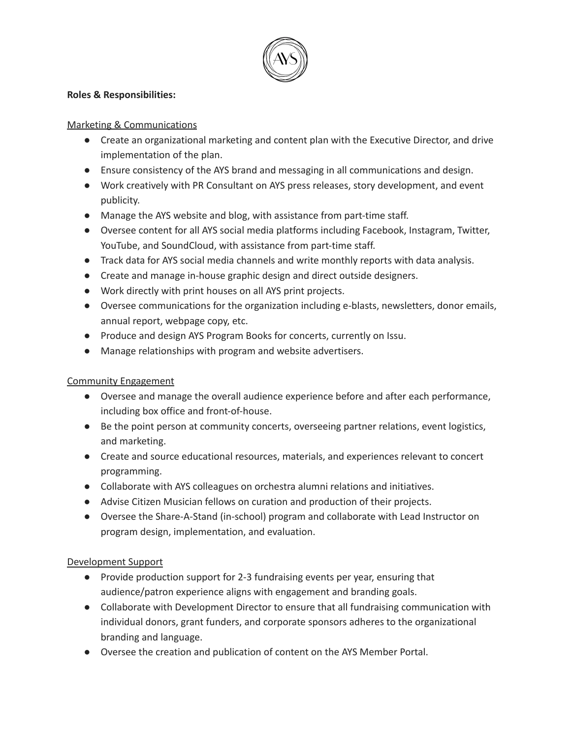

#### **Roles & Responsibilities:**

### Marketing & Communications

- Create an organizational marketing and content plan with the Executive Director, and drive implementation of the plan.
- Ensure consistency of the AYS brand and messaging in all communications and design.
- Work creatively with PR Consultant on AYS press releases, story development, and event publicity.
- Manage the AYS website and blog, with assistance from part-time staff.
- Oversee content for all AYS social media platforms including Facebook, Instagram, Twitter, YouTube, and SoundCloud, with assistance from part-time staff.
- Track data for AYS social media channels and write monthly reports with data analysis.
- Create and manage in-house graphic design and direct outside designers.
- Work directly with print houses on all AYS print projects.
- Oversee communications for the organization including e-blasts, newsletters, donor emails, annual report, webpage copy, etc.
- Produce and design AYS Program Books for concerts, currently on Issu.
- Manage relationships with program and website advertisers.

# Community Engagement

- Oversee and manage the overall audience experience before and after each performance, including box office and front-of-house.
- Be the point person at community concerts, overseeing partner relations, event logistics, and marketing.
- Create and source educational resources, materials, and experiences relevant to concert programming.
- Collaborate with AYS colleagues on orchestra alumni relations and initiatives.
- Advise Citizen Musician fellows on curation and production of their projects.
- Oversee the Share-A-Stand (in-school) program and collaborate with Lead Instructor on program design, implementation, and evaluation.

# Development Support

- Provide production support for 2-3 fundraising events per year, ensuring that audience/patron experience aligns with engagement and branding goals.
- Collaborate with Development Director to ensure that all fundraising communication with individual donors, grant funders, and corporate sponsors adheres to the organizational branding and language.
- Oversee the creation and publication of content on the AYS Member Portal.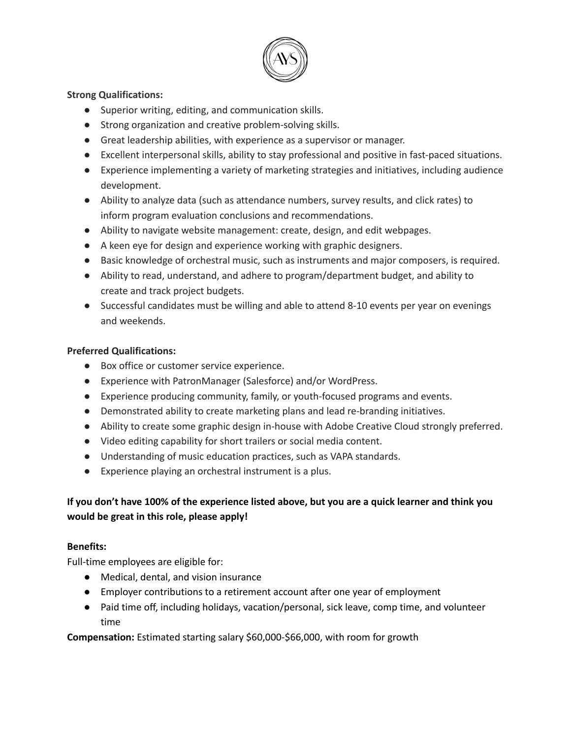

### **Strong Qualifications:**

- Superior writing, editing, and communication skills.
- Strong organization and creative problem-solving skills.
- Great leadership abilities, with experience as a supervisor or manager.
- Excellent interpersonal skills, ability to stay professional and positive in fast-paced situations.
- Experience implementing a variety of marketing strategies and initiatives, including audience development.
- Ability to analyze data (such as attendance numbers, survey results, and click rates) to inform program evaluation conclusions and recommendations.
- Ability to navigate website management: create, design, and edit webpages.
- A keen eye for design and experience working with graphic designers.
- Basic knowledge of orchestral music, such as instruments and major composers, is required.
- Ability to read, understand, and adhere to program/department budget, and ability to create and track project budgets.
- Successful candidates must be willing and able to attend 8-10 events per year on evenings and weekends.

# **Preferred Qualifications:**

- Box office or customer service experience.
- Experience with PatronManager (Salesforce) and/or WordPress.
- Experience producing community, family, or youth-focused programs and events.
- Demonstrated ability to create marketing plans and lead re-branding initiatives.
- Ability to create some graphic design in-house with Adobe Creative Cloud strongly preferred.
- Video editing capability for short trailers or social media content.
- Understanding of music education practices, such as VAPA standards.
- Experience playing an orchestral instrument is a plus.

# If you don't have 100% of the experience listed above, but you are a quick learner and think you **would be great in this role, please apply!**

# **Benefits:**

Full-time employees are eligible for:

- Medical, dental, and vision insurance
- Employer contributions to a retirement account after one year of employment
- Paid time off, including holidays, vacation/personal, sick leave, comp time, and volunteer time

**Compensation:** Estimated starting salary \$60,000-\$66,000, with room for growth